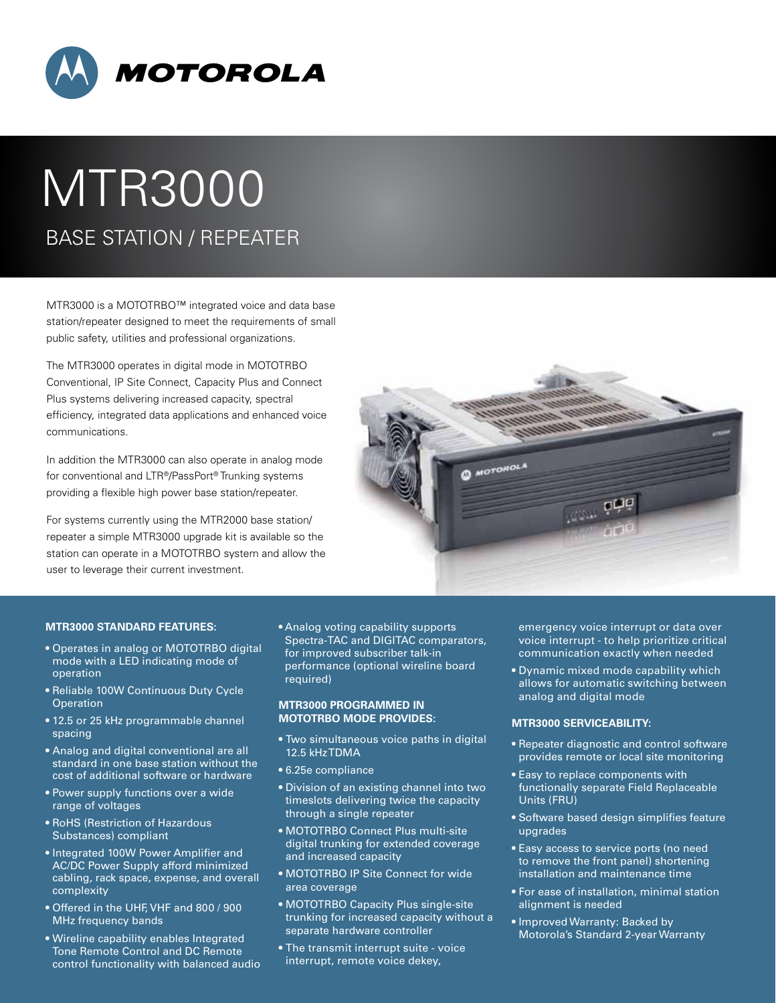

# MTR3000 BASE STATION / Repeater

MTR3000 is a MOTOTRBO™ integrated voice and data base station/repeater designed to meet the requirements of small public safety, utilities and professional organizations.

The MTR3000 operates in digital mode in MOTOTRBO Conventional, IP Site Connect, Capacity Plus and Connect Plus systems delivering increased capacity, spectral efficiency, integrated data applications and enhanced voice communications.

In addition the MTR3000 can also operate in analog mode for conventional and LTR®/PassPort® Trunking systems providing a flexible high power base station/repeater.

For systems currently using the MTR2000 base station/ repeater a simple MTR3000 upgrade kit is available so the station can operate in a MOTOTRBO system and allow the user to leverage their current investment.



## **MTR3000 STANDARD FEATURES:**

- Operates in analog or MOTOTRBO digital mode with a LED indicating mode of operation
- Reliable 100W Continuous Duty Cycle **Operation**
- 12.5 or 25 kHz programmable channel spacing
- Analog and digital conventional are all standard in one base station without the cost of additional software or hardware
- Power supply functions over a wide range of voltages
- RoHS (Restriction of Hazardous Substances) compliant
- Integrated 100W Power Amplifier and AC/DC Power Supply afford minimized cabling, rack space, expense, and overall complexity
- Offered in the UHF, VHF and 800 / 900 MHz frequency bands
- Wireline capability enables Integrated Tone Remote Control and DC Remote control functionality with balanced audio

• Analog voting capability supports Spectra-TAC and DIGITAC comparators, for improved subscriber talk-in performance (optional wireline board required)

### **MTR3000 PROGRAMMED IN MOTOTRBO MODE PROVIDES:**

- Two simultaneous voice paths in digital 12.5 kHz TDMA
- 6.25e compliance
- Division of an existing channel into two timeslots delivering twice the capacity through a single repeater
- MOTOTRBO Connect Plus multi-site digital trunking for extended coverage and increased capacity
- MOTOTRBO IP Site Connect for wide area coverage
- MOTOTRBO Capacity Plus single-site trunking for increased capacity without a separate hardware controller
- The transmit interrupt suite voice interrupt, remote voice dekey,

emergency voice interrupt or data over voice interrupt - to help prioritize critical communication exactly when needed

• Dynamic mixed mode capability which allows for automatic switching between analog and digital mode

#### **MTR3000 SERVICEABILITY:**

- Repeater diagnostic and control software provides remote or local site monitoring
- Easy to replace components with functionally separate Field Replaceable Units (FRU)
- Software based design simplifies feature upgrades
- Easy access to service ports (no need to remove the front panel) shortening installation and maintenance time
- For ease of installation, minimal station alignment is needed
- Improved Warranty: Backed by Motorola's Standard 2-year Warranty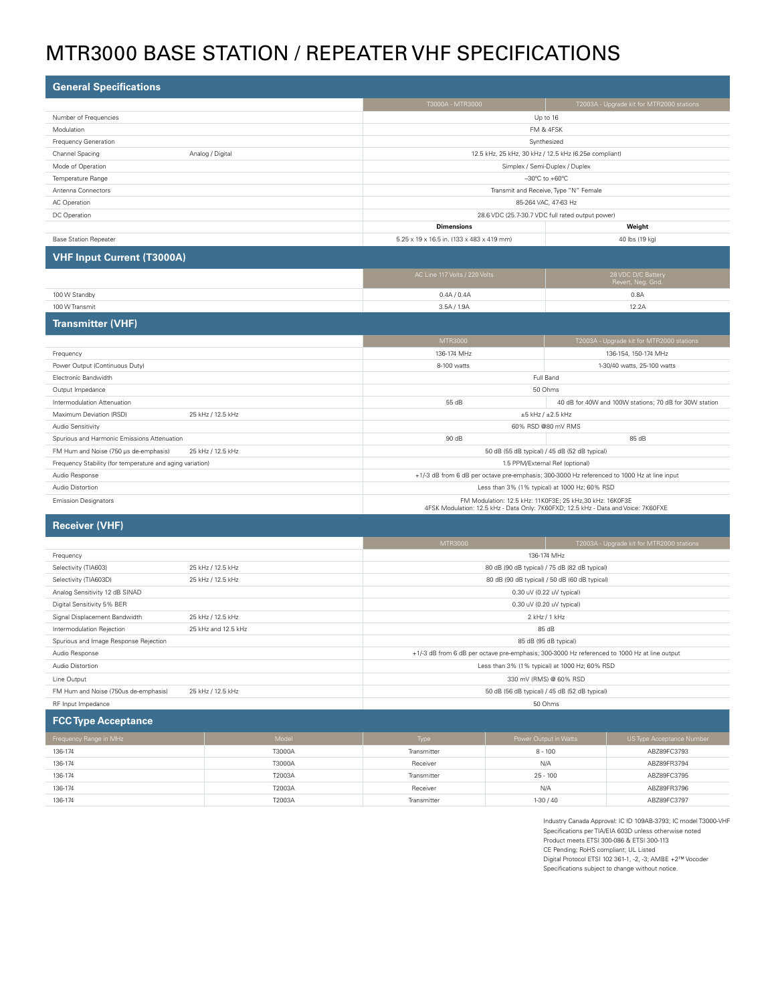# MTR3000 BASE STATION / Repeater VHF Specifications

| <b>General Specifications</b>                              |                                                                                                                                                |                                                        |  |
|------------------------------------------------------------|------------------------------------------------------------------------------------------------------------------------------------------------|--------------------------------------------------------|--|
|                                                            | T3000A - MTR3000                                                                                                                               | T2003A - Upgrade kit for MTR2000 stations              |  |
| Number of Frequencies                                      | Up to 16                                                                                                                                       |                                                        |  |
| Modulation                                                 |                                                                                                                                                | FM & 4FSK                                              |  |
| Frequency Generation                                       |                                                                                                                                                | Synthesized                                            |  |
| Channel Spacing<br>Analog / Digital                        |                                                                                                                                                | 12.5 kHz, 25 kHz, 30 kHz / 12.5 kHz (6.25e compliant)  |  |
| Mode of Operation                                          |                                                                                                                                                | Simplex / Semi-Duplex / Duplex                         |  |
| Temperature Range                                          |                                                                                                                                                | $-30^{\circ}$ C to $+60^{\circ}$ C                     |  |
| Antenna Connectors                                         |                                                                                                                                                | Transmit and Receive, Type "N" Female                  |  |
| AC Operation                                               |                                                                                                                                                | 85-264 VAC, 47-63 Hz                                   |  |
| DC Operation                                               |                                                                                                                                                | 28.6 VDC (25.7-30.7 VDC full rated output power)       |  |
|                                                            | <b>Dimensions</b>                                                                                                                              | Weight                                                 |  |
| <b>Base Station Repeater</b>                               | 5.25 x 19 x 16.5 in. (133 x 483 x 419 mm)                                                                                                      | 40 lbs (19 kg)                                         |  |
| <b>VHF Input Current (T3000A)</b>                          |                                                                                                                                                |                                                        |  |
|                                                            | AC Line 117 Volts / 220 Volts                                                                                                                  | 28 VDC D/C Battery<br>Revert, Neg. Gnd.                |  |
| 100 W Standby                                              | 0.4A / 0.4A                                                                                                                                    | 0.8A                                                   |  |
| 100 W Transmit                                             | 3.5A / 1.9A<br>12.2A                                                                                                                           |                                                        |  |
| <b>Transmitter (VHF)</b>                                   |                                                                                                                                                |                                                        |  |
|                                                            | MTR3000                                                                                                                                        | T2003A - Upgrade kit for MTR2000 stations              |  |
| Frequency                                                  | 136-174 MHz                                                                                                                                    | 136-154, 150-174 MHz                                   |  |
| Power Output (Continuous Duty)                             | 8-100 watts<br>1-30/40 watts, 25-100 watts                                                                                                     |                                                        |  |
| Electronic Bandwidth                                       |                                                                                                                                                | Full Band                                              |  |
| Output Impedance                                           |                                                                                                                                                | 50 Ohms                                                |  |
| Intermodulation Attenuation                                | 55 dB                                                                                                                                          | 40 dB for 40W and 100W stations; 70 dB for 30W station |  |
| Maximum Deviation (RSD)<br>25 kHz / 12.5 kHz               | $\pm 5$ kHz / $\pm 2.5$ kHz                                                                                                                    |                                                        |  |
| Audio Sensitivity                                          | 60% RSD @80 mV RMS                                                                                                                             |                                                        |  |
| Spurious and Harmonic Emissions Attenuation                | 85 dB<br>90 dB                                                                                                                                 |                                                        |  |
| FM Hum and Noise (750 µs de-emphasis)<br>25 kHz / 12.5 kHz | 50 dB (55 dB typical) / 45 dB (52 dB typical)                                                                                                  |                                                        |  |
| Frequency Stability (for temperature and aging variation)  | 1.5 PPM/External Ref (optional)                                                                                                                |                                                        |  |
| Audio Response                                             | +1/-3 dB from 6 dB per octave pre-emphasis; 300-3000 Hz referenced to 1000 Hz at line input                                                    |                                                        |  |
| Audio Distortion                                           | Less than 3% (1% typical) at 1000 Hz; 60% RSD                                                                                                  |                                                        |  |
| <b>Emission Designators</b>                                | FM Modulation: 12.5 kHz: 11K0F3E; 25 kHz,30 kHz: 16K0F3E<br>4FSK Modulation: 12.5 kHz - Data Only: 7K60FXD; 12.5 kHz - Data and Voice: 7K60FXE |                                                        |  |

# **Receiver (VHF)**

|                                       |                     | MTR3000                                                                                      | T2003A - Upgrade kit for MTR2000 stations |  |
|---------------------------------------|---------------------|----------------------------------------------------------------------------------------------|-------------------------------------------|--|
| Frequency                             |                     | 136-174 MHz                                                                                  |                                           |  |
| Selectivity (TIA603)                  | 25 kHz / 12.5 kHz   | 80 dB (90 dB typical) / 75 dB (82 dB typical)                                                |                                           |  |
| Selectivity (TIA603D)                 | 25 kHz / 12.5 kHz   | 80 dB (90 dB typical) / 50 dB (60 dB typical)                                                |                                           |  |
| Analog Sensitivity 12 dB SINAD        |                     | 0.30 uV (0.22 uV typical)                                                                    |                                           |  |
| Digital Sensitivity 5% BER            |                     | 0.30 uV (0.20 uV typical)                                                                    |                                           |  |
| Signal Displacement Bandwidth         | 25 kHz / 12.5 kHz   | 2 kHz / 1 kHz                                                                                |                                           |  |
| Intermodulation Rejection             | 25 kHz and 12.5 kHz | 85 dB                                                                                        |                                           |  |
| Spurious and Image Response Rejection |                     | 85 dB (95 dB typical)                                                                        |                                           |  |
| Audio Response                        |                     | +1/-3 dB from 6 dB per octave pre-emphasis; 300-3000 Hz referenced to 1000 Hz at line output |                                           |  |
| Audio Distortion                      |                     | Less than 3% (1% typical) at 1000 Hz; 60% RSD                                                |                                           |  |
| Line Output                           |                     | 330 mV (RMS) @ 60% RSD                                                                       |                                           |  |
| FM Hum and Noise (750us de-emphasis)  | 25 kHz / 12.5 kHz   | 50 dB (56 dB typical) / 45 dB (52 dB typical)                                                |                                           |  |
| RF Input Impedance                    |                     | 50 Ohms                                                                                      |                                           |  |

| <b>FCC Type Acceptance</b> |                    |             |                       |                           |
|----------------------------|--------------------|-------------|-----------------------|---------------------------|
| Frequency Range in MHz     | Model <sup>1</sup> | <b>Type</b> | Power Output in Watts | US Type Acceptance Number |
| 136-174                    | T3000A             | Transmitter | $8 - 100$             | ABZ89FC3793               |
| 136-174                    | T3000A             | Receiver    | N/A                   | ABZ89FR3794               |
| 136-174                    | T2003A             | Transmitter | $25 - 100$            | ABZ89FC3795               |
| 136-174                    | T2003A             | Receiver    | N/A                   | ABZ89FR3796               |
| 136-174                    | T2003A             | Transmitter | $1-30/40$             | ABZ89FC3797               |

Industry Canada Approval: IC ID 109AB-3793; IC model T3000-VHF Specifications per TIA/EIA 603D unless otherwise noted Product meets ETSI 300-086 & ETSI 300-113 CE Pending; RoHS compliant; UL Listed Digital Protocol ETSI 102 361-1, -2, -3; AMBE +2™ Vocoder Specifications subject to change without notice.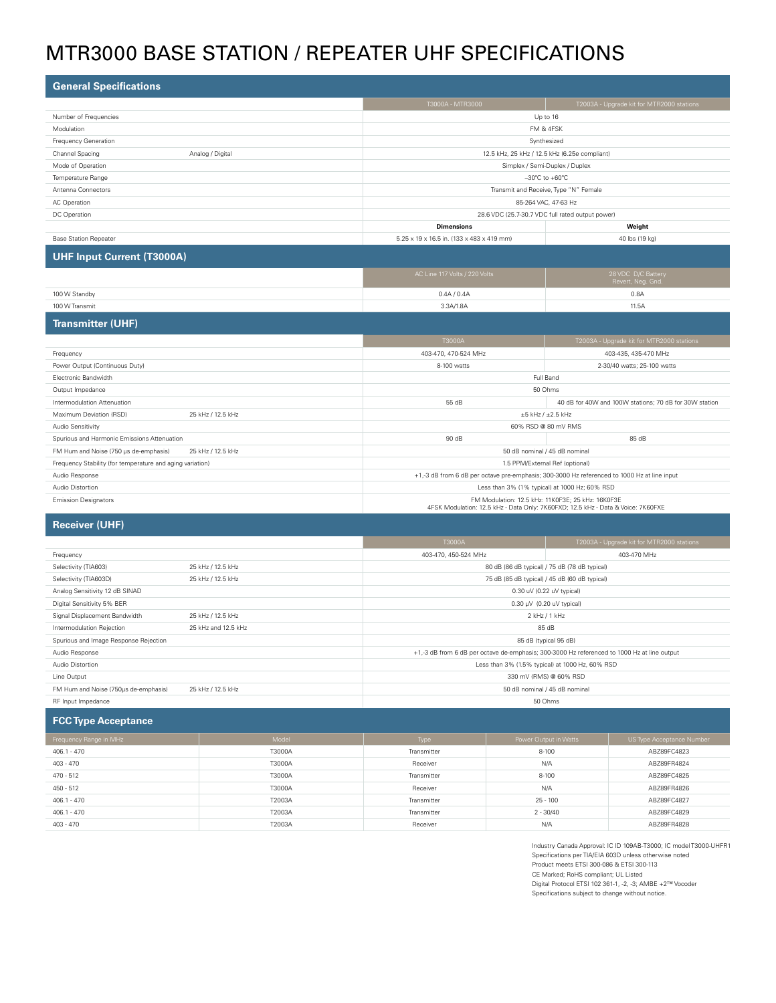# MTR3000 BASE STATION / Repeater UHF Specifications

| <b>General Specifications</b>                              |                                                                                                                                       |                                                        |  |
|------------------------------------------------------------|---------------------------------------------------------------------------------------------------------------------------------------|--------------------------------------------------------|--|
|                                                            | T3000A - MTR3000                                                                                                                      | T2003A - Upgrade kit for MTR2000 stations              |  |
| Number of Frequencies                                      | Up to 16                                                                                                                              |                                                        |  |
| Modulation                                                 |                                                                                                                                       | FM & 4FSK                                              |  |
| Frequency Generation                                       |                                                                                                                                       | Synthesized                                            |  |
| Channel Spacing<br>Analog / Digital                        |                                                                                                                                       | 12.5 kHz, 25 kHz / 12.5 kHz (6.25e compliant)          |  |
| Mode of Operation                                          |                                                                                                                                       | Simplex / Semi-Duplex / Duplex                         |  |
| Temperature Range                                          |                                                                                                                                       | $-30^{\circ}$ C to $+60^{\circ}$ C                     |  |
| Antenna Connectors                                         |                                                                                                                                       | Transmit and Receive, Type "N" Female                  |  |
| AC Operation                                               |                                                                                                                                       | 85-264 VAC, 47-63 Hz                                   |  |
| DC Operation                                               |                                                                                                                                       | 28.6 VDC (25.7-30.7 VDC full rated output power)       |  |
|                                                            | <b>Dimensions</b>                                                                                                                     | Weight                                                 |  |
| <b>Base Station Repeater</b>                               | 5.25 x 19 x 16.5 in. (133 x 483 x 419 mm)                                                                                             | 40 lbs (19 kg)                                         |  |
| <b>UHF Input Current (T3000A)</b>                          |                                                                                                                                       |                                                        |  |
|                                                            | AC Line 117 Volts / 220 Volts                                                                                                         | 28 VDC D/C Battery<br>Revert, Neg. Gnd.                |  |
| 100 W Standby                                              | 0.4A / 0.4A                                                                                                                           | 0.8A                                                   |  |
| 100 W Transmit                                             | 3.3A/1.8A<br>11.5A                                                                                                                    |                                                        |  |
| <b>Transmitter (UHF)</b>                                   |                                                                                                                                       |                                                        |  |
|                                                            | T3000A                                                                                                                                | T2003A - Upgrade kit for MTR2000 stations              |  |
| Frequency                                                  | 403-470, 470-524 MHz                                                                                                                  | 403-435, 435-470 MHz                                   |  |
| Power Output (Continuous Duty)                             | 8-100 watts<br>2-30/40 watts; 25-100 watts                                                                                            |                                                        |  |
| Electronic Bandwidth                                       |                                                                                                                                       | Full Band                                              |  |
| Output Impedance                                           | 50 Ohms                                                                                                                               |                                                        |  |
| Intermodulation Attenuation                                | 55 dB                                                                                                                                 | 40 dB for 40W and 100W stations; 70 dB for 30W station |  |
| Maximum Deviation (RSD)<br>25 kHz / 12.5 kHz               | $\pm 5$ kHz / $\pm 2.5$ kHz                                                                                                           |                                                        |  |
| Audio Sensitivity                                          | 60% RSD @ 80 mV RMS                                                                                                                   |                                                        |  |
| Spurious and Harmonic Emissions Attenuation                | 90 dB                                                                                                                                 | 85 dB                                                  |  |
| FM Hum and Noise (750 µs de-emphasis)<br>25 kHz / 12.5 kHz | 50 dB nominal / 45 dB nominal                                                                                                         |                                                        |  |
| Frequency Stability (for temperature and aging variation)  | 1.5 PPM/External Ref (optional)                                                                                                       |                                                        |  |
| Audio Response                                             | +1,-3 dB from 6 dB per octave pre-emphasis; 300-3000 Hz referenced to 1000 Hz at line input                                           |                                                        |  |
| Audio Distortion                                           | Less than 3% (1% typical) at 1000 Hz; 60% RSD                                                                                         |                                                        |  |
| <b>Emission Designators</b>                                | FM Modulation: 12.5 kHz: 11K0F3E: 25 kHz: 16K0F3E<br>4FSK Modulation: 12.5 kHz - Data Only: 7K60FXD; 12.5 kHz - Data & Voice: 7K60FXE |                                                        |  |

## **Receiver (UHF)**

|                                       |                     | T3000A                                                                                      | T2003A - Upgrade kit for MTR2000 stations     |
|---------------------------------------|---------------------|---------------------------------------------------------------------------------------------|-----------------------------------------------|
| Frequency                             |                     | 403-470, 450-524 MHz                                                                        | 403-470 MHz                                   |
| Selectivity (TIA603)                  | 25 kHz / 12.5 kHz   | 80 dB (86 dB typical) / 75 dB (78 dB typical)                                               |                                               |
| Selectivity (TIA603D)                 | 25 kHz / 12.5 kHz   |                                                                                             | 75 dB (85 dB typical) / 45 dB (60 dB typical) |
| Analog Sensitivity 12 dB SINAD        |                     | 0.30 uV (0.22 uV typical)                                                                   |                                               |
| Digital Sensitivity 5% BER            |                     | $0.30 \mu V$ (0.20 uV typical)                                                              |                                               |
| Signal Displacement Bandwidth         | 25 kHz / 12.5 kHz   | 2 kHz / 1 kHz                                                                               |                                               |
| Intermodulation Rejection             | 25 kHz and 12.5 kHz | 85 dB                                                                                       |                                               |
| Spurious and Image Response Rejection |                     | 85 dB (typical 95 dB)                                                                       |                                               |
| Audio Response                        |                     | +1,-3 dB from 6 dB per octave de-emphasis; 300-3000 Hz referenced to 1000 Hz at line output |                                               |
| Audio Distortion                      |                     | Less than 3% (1.5% typical) at 1000 Hz, 60% RSD                                             |                                               |
| Line Output                           |                     | 330 mV (RMS) @ 60% RSD                                                                      |                                               |
| FM Hum and Noise (750us de-emphasis)  | 25 kHz / 12.5 kHz   | 50 dB nominal / 45 dB nominal                                                               |                                               |
| RF Input Impedance                    |                     | 50 Ohms                                                                                     |                                               |

**FCC Type Acceptance** Frequency Range in MHz Notice Acceptance Number Model Model Model Type Power Output in Watts Number US Type Acceptance Number Number ( 406.1 - 470 T3000A Transmitter 8-100 ABZ89FC4823 403 - 470 T3000A Receiver N/A ABZ89FR4824 470 - 512 T3000A Transmitter 8-100 ABZ89FC4825 450 - 512 T3000A Receiver N/A ABZ89FR4826 406.1 - 470 T2003A Transmitter 25 - 100 ABZ89FC4827 406.1 - 470 T2003A Transmitter 2 - 30/40 ABZ89FC4829 403 - 470 T2003A Receiver N/A ABZ89FR4828

> Industry Canada Approval: IC ID 109AB-T3000; IC model T3000-UHFR1 Specifications per TIA/EIA 603D unless otherwise noted Product meets ETSI 300-086 & ETSI 300-113 CE Marked; RoHS compliant; UL Listed Digital Protocol ETSI 102 361-1, -2, -3; AMBE +2™ Vocoder Specifications subject to change without notice.